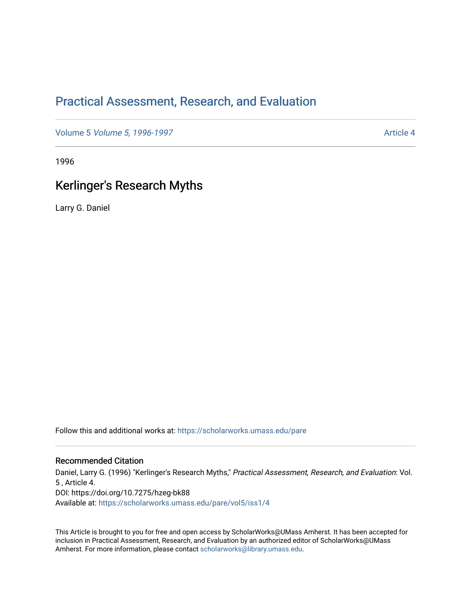# [Practical Assessment, Research, and Evaluation](https://scholarworks.umass.edu/pare)

Volume 5 [Volume 5, 1996-1997](https://scholarworks.umass.edu/pare/vol5) Article 4

1996

## Kerlinger's Research Myths

Larry G. Daniel

Follow this and additional works at: [https://scholarworks.umass.edu/pare](https://scholarworks.umass.edu/pare?utm_source=scholarworks.umass.edu%2Fpare%2Fvol5%2Fiss1%2F4&utm_medium=PDF&utm_campaign=PDFCoverPages) 

#### Recommended Citation

Daniel, Larry G. (1996) "Kerlinger's Research Myths," Practical Assessment, Research, and Evaluation: Vol. 5 , Article 4. DOI: https://doi.org/10.7275/hzeg-bk88 Available at: [https://scholarworks.umass.edu/pare/vol5/iss1/4](https://scholarworks.umass.edu/pare/vol5/iss1/4?utm_source=scholarworks.umass.edu%2Fpare%2Fvol5%2Fiss1%2F4&utm_medium=PDF&utm_campaign=PDFCoverPages) 

This Article is brought to you for free and open access by ScholarWorks@UMass Amherst. It has been accepted for inclusion in Practical Assessment, Research, and Evaluation by an authorized editor of ScholarWorks@UMass Amherst. For more information, please contact [scholarworks@library.umass.edu](mailto:scholarworks@library.umass.edu).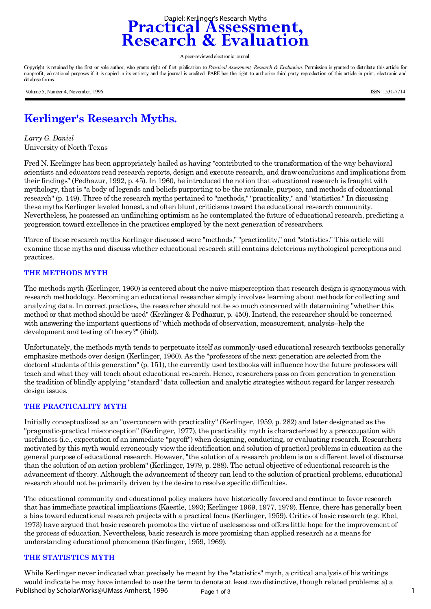

A peer-reviewed electronic journal.

Copyright is retained by the first or sole author, who grants right of first publication to *Practical Assessment, Research & Evaluation*. Permission is granted to distribute this article for nonprofit, educational purposes if it is copied in its entirety and the journal is credited. PARE has the right to authorize third party reproduction of this article in print, electronic and database forms.

Volume 5, Number 4, November, 1996 ISSN=1531-7714

# **Kerlinger's Research Myths.**

*Larry G. Daniel*  University of North Texas

Fred N. Kerlinger has been appropriately hailed as having "contributed to the transformation of the way behavioral scientists and educators read research reports, design and execute research, and draw conclusions and implications from their findings" (Pedhazur, 1992, p. 45). In 1960, he introduced the notion that educational research is fraught with mythology, that is "a body of legends and beliefs purporting to be the rationale, purpose, and methods of educational research" (p. 149). Three of the research myths pertained to "methods," "practicality," and "statistics." In discussing these myths Kerlinger leveled honest, and often blunt, criticisms toward the educational research community. Nevertheless, he possessed an unflinching optimism as he contemplated the future of educational research, predicting a progression toward excellence in the practices employed by the next generation of researchers.

Three of these research myths Kerlinger discussed were "methods," "practicality," and "statistics." This article will examine these myths and discuss whether educational research still contains deleterious mythological perceptions and practices.

#### **THE METHODS MYTH**

The methods myth (Kerlinger, 1960) is centered about the naive misperception that research design is synonymous with research methodology. Becoming an educational researcher simply involves learning about methods for collecting and analyzing data. In correct practices, the researcher should not be so much concerned with determining "whether this method or that method should be used" (Kerlinger & Pedhazur, p. 450). Instead, the researcher should be concerned with answering the important questions of "which methods of observation, measurement, analysis--help the development and testing of theory?" (ibid).

Unfortunately, the methods myth tends to perpetuate itself as commonly-used educational research textbooks generally emphasize methods over design (Kerlinger, 1960). As the "professors of the next generation are selected from the doctoral students of this generation" (p. 151), the currently used textbooks will influence how the future professors will teach and what they will teach about educational research. Hence, researchers pass on from generation to generation the tradition of blindly applying "standard" data collection and analytic strategies without regard for larger research design issues.

#### **THE PRACTICALITY MYTH**

Initially conceptualized as an "overconcern with practicality" (Kerlinger, 1959, p. 282) and later designated as the "pragmatic-practical misconception" (Kerlinger, 1977), the practicality myth is characterized by a preoccupation with usefulness (i.e., expectation of an immediate "payoff") when designing, conducting, or evaluating research. Researchers motivated by this myth would erroneously view the identification and solution of practical problems in education as the general purpose of educational research. However, "the solution of a research problem is on a different level of discourse than the solution of an action problem" (Kerlinger, 1979, p. 288). The actual objective of educational research is the advancement of theory. Although the advancement of theory can lead to the solution of practical problems, educational research should not be primarily driven by the desire to resolve specific difficulties.

The educational community and educational policy makers have historically favored and continue to favor research that has immediate practical implications (Kaestle, 1993; Kerlinger 1969, 1977, 1979). Hence, there has generally been a bias toward educational research projects with a practical focus (Kerlinger, 1959). Critics of basic research (e.g. Ebel, 1973) have argued that basic research promotes the virtue of uselessness and offers little hope for the improvement of the process of education. Nevertheless, basic research is more promising than applied research as a means for understanding educational phenomena (Kerlinger, 1959, 1969).

#### **THE STATISTICS MYTH**

While Kerlinger never indicated what precisely he meant by the "statistics" myth, a critical analysis of his writings would indicate he may have intended to use the term to denote at least two distinctive, though related problems: a) a Page 1 of 3 1 Published by ScholarWorks@UMass Amherst, 1996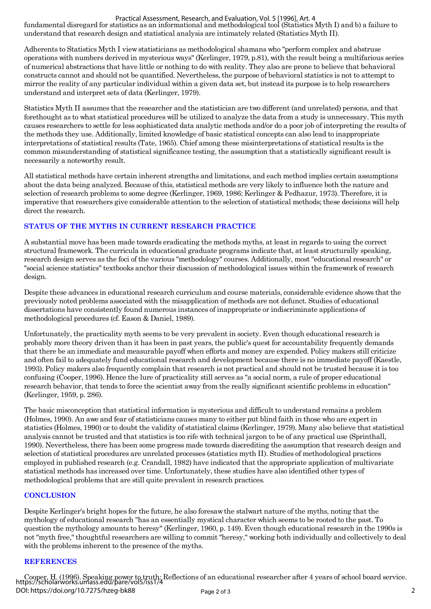#### Practical Assessment, Research, and Evaluation, Vol. 5 [1996], Art. 4

fundamental disregard for statistics as an informational and methodological tool (Statistics Myth I) and b) a failure to understand that research design and statistical analysis are intimately related (Statistics Myth II).

Adherents to Statistics Myth I view statisticians as methodological shamans who "perform complex and abstruse operations with numbers derived in mysterious ways" (Kerlinger, 1979, p.81), with the result being a multifarious series of numerical abstractions that have little or nothing to do with reality. They also are prone to believe that behavioral constructs cannot and should not be quantified. Nevertheless, the purpose of behavioral statistics is not to attempt to mirror the reality of any particular individual within a given data set, but instead its purpose is to help researchers understand and interpret sets of data (Kerlinger, 1979).

Statistics Myth II assumes that the researcher and the statistician are two different (and unrelated) persons, and that forethought as to what statistical procedures will be utilized to analyze the data from a study is unnecessary. This myth causes researchers to settle for less sophisticated data analytic methods and/or do a poor job of interpreting the results of the methods they use. Additionally, limited knowledge of basic statistical concepts can also lead to inappropriate interpretations of statistical results (Tate, 1965). Chief among these misinterpretations of statistical results is the common misunderstanding of statistical significance testing, the assumption that a statistically significant result is necessarily a noteworthy result.

All statistical methods have certain inherent strengths and limitations, and each method implies certain assumptions about the data being analyzed. Because of this, statistical methods are very likely to influence both the nature and selection of research problems to some degree (Kerlinger, 1969, 1986; Kerlinger & Pedhazur, 1973). Therefore, it is imperative that researchers give considerable attention to the selection of statistical methods; these decisions will help direct the research.

## **STATUS OF THE MYTHS IN CURRENT RESEARCH PRACTICE**

A substantial move has been made towards eradicating the methods myths, at least in regards to using the correct structural framework. The curricula in educational graduate programs indicate that, at least structurally speaking, research design serves as the foci of the various "methodology" courses. Additionally, most "educational research" or "social science statistics" textbooks anchor their discussion of methodological issues within the framework of research design.

Despite these advances in educational research curriculum and course materials, considerable evidence shows that the previously noted problems associated with the misapplication of methods are not defunct. Studies of educational dissertations have consistently found numerous instances of inappropriate or indiscriminate applications of methodological procedures (cf. Eason & Daniel, 1989).

Unfortunately, the practicality myth seems to be very prevalent in society. Even though educational research is probably more theory driven than it has been in past years, the public's quest for accountability frequently demands that there be an immediate and measurable payoff when efforts and money are expended. Policy makers still criticize and often fail to adequately fund educational research and development because there is no immediate payoff (Kaestle, 1993). Policy makers also frequently complain that research is not practical and should not be trusted because it is too confusing (Cooper, 1996). Hence the lure of practicality still serves as "a social norm, a rule of proper educational research behavior, that tends to force the scientist away from the really significant scientific problems in education" (Kerlinger, 1959, p. 286).

The basic misconception that statistical information is mysterious and difficult to understand remains a problem (Holmes, 1990). An awe and fear of statisticians causes many to either put blind faith in those who are expert in statistics (Holmes, 1990) or to doubt the validity of statistical claims (Kerlinger, 1979). Many also believe that statistical analysis cannot be trusted and that statistics is too rife with technical jargon to be of any practical use (Sprinthall, 1990). Nevertheless, there has been some progress made towards discrediting the assumption that research design and selection of statistical procedures are unrelated processes (statistics myth II). Studies of methodological practices employed in published research (e.g. Crandall, 1982) have indicated that the appropriate application of multivariate statistical methods has increased over time. Unfortunately, these studies have also identified other types of methodological problems that are still quite prevalent in research practices.

### **CONCLUSION**

Despite Kerlinger's bright hopes for the future, he also foresaw the stalwart nature of the myths, noting that the mythology of educational research "has an essentially mystical character which seems to be rooted to the past. To question the mythology amounts to heresy" (Kerlinger, 1960, p. 149). Even though educational research in the 1990s is not "myth free," thoughtful researchers are willing to commit "heresy," working both individually and collectively to deal with the problems inherent to the presence of the myths.

#### **REFERENCES**

Cooper, H. (1996). Speaking power to truth: Reflections of an educational researcher after 4 years of school board service. https://scholarworks.umass.edu/pare/vol5/iss1/4 Page 2 of 3 2 DOI: https://doi.org/10.7275/hzeg-bk88